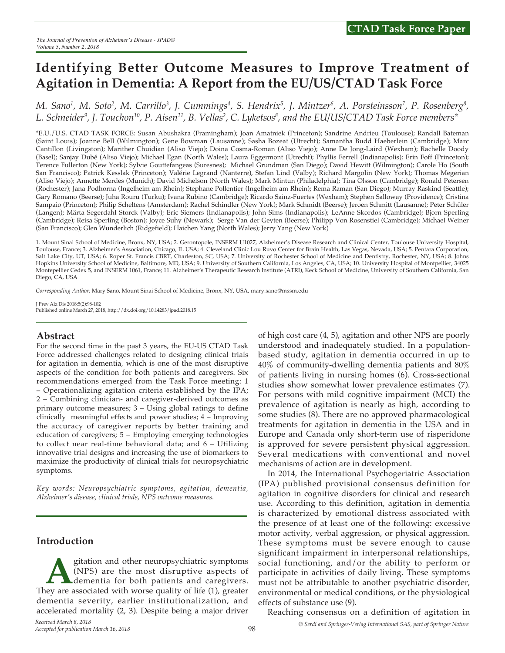# **Identifying Better Outcome Measures to Improve Treatment of Agitation in Dementia: A Report from the EU/US/CTAD Task Force**

M. Sano<sup>1</sup>, M. Soto<sup>2</sup>, M. Carrillo<sup>3</sup>, J. Cummings<sup>4</sup>, S. Hendrix<sup>5</sup>, J. Mintzer<sup>6</sup>, A. Porsteinsson<sup>7</sup>, P. Rosenberg<sup>8</sup>, L. Schneider<sup>9</sup>, J. Touchon<sup>10</sup>, P. Aisen<sup>11</sup>, B. Vellas<sup>2</sup>, C. Lyketsos<sup>8</sup>, and the EU/US/CTAD Task Force members\*

\*E.U./U.S. CTAD TASK FORCE: Susan Abushakra (Framingham); Joan Amatniek (Princeton); Sandrine Andrieu (Toulouse); Randall Bateman (Saint Louis); Joanne Bell (Wilmington); Gene Bowman (Lausanne); Sasha Bozeat (Utrecht); Samantha Budd Haeberlein (Cambridge); Marc Cantillon (Livingston); Marither Chuidian (Aliso Viejo); Doina Cosma-Roman (Aliso Viejo); Anne De Jong-Laird (Wexham); Rachelle Doody (Basel); Sanjay Dubé (Aliso Viejo); Michael Egan (North Wales); Laura Eggermont (Utrecht); Phyllis Ferrell (Indianapolis); Erin Foff (Princeton); Terence Fullerton (New York); Sylvie Gouttefangeas (Suresnes); Michael Grundman (San Diego); David Hewitt (Wilmington); Carole Ho (South San Francisco); Patrick Kesslak (Princeton); Valérie Legrand (Nanterre), Stefan Lind (Valby); Richard Margolin (New York); Thomas Megerian (Aliso Viejo); Annette Merdes (Munich); David Michelson (North Wales); Mark Mintun (Philadelphia); Tina Olsson (Cambridge); Ronald Petersen (Rochester); Jana Podhorna (Ingelheim am Rhein); Stephane Pollentier (Ingelheim am Rhein); Rema Raman (San Diego); Murray Raskind (Seattle); Gary Romano (Beerse); Juha Rouru (Turku); Ivana Rubino (Cambridge); Ricardo Sainz-Fuertes (Wexham); Stephen Salloway (Providence); Cristina Sampaio (Princeton); Philip Scheltens (Amsterdam); Rachel Schindler (New York); Mark Schmidt (Beerse); Jeroen Schmitt (Lausanne); Peter Schüler (Langen); Märta Segerdahl Storck (Valby); Eric Siemers (Indianapolis); John Sims (Indianapolis); LeAnne Skordos (Cambridge); Bjorn Sperling (Cambridge); Reisa Sperling (Boston); Joyce Suhy (Newark); Serge Van der Geyten (Beerse); Philipp Von Rosenstiel (Cambridge); Michael Weiner (San Francisco); Glen Wunderlich (Ridgefield); Haichen Yang (North Wales); Jerry Yang (New York)

1. Mount Sinai School of Medicine, Bronx, NY, USA; 2. Gerontopole, INSERM U1027, Alzheimer's Disease Research and Clinical Center, Toulouse University Hospital, Toulouse, France; 3. Alzheimer's Association, Chicago, IL USA; 4. Cleveland Clinic Lou Ruvo Center for Brain Health, Las Vegas, Nevada, USA; 5. Pentara Corporation, Salt Lake City, UT, USA; 6. Roper St. Francis CBRT, Charleston, SC, USA; 7. University of Rochester School of Medicine and Dentistry, Rochester, NY, USA; 8. Johns Hopkins University School of Medicine, Baltimore, MD, USA; 9. University of Southern California, Los Angeles, CA, USA; 10. University Hospital of Montpellier, 34025 Montepellier Cedex 5, and INSERM 1061, France; 11. Alzheimer's Therapeutic Research Institute (ATRI), Keck School of Medicine, University of Southern California, San Diego, CA, USA

*Corresponding Author:* Mary Sano, Mount Sinai School of Medicine, Bronx, NY, USA, mary.sano@mssm.edu

J Prev Alz Dis 2018;5(2):98-102 Published online March 27, 2018, http://dx.doi.org/10.14283/jpad.2018.15

## **Abstract**

For the second time in the past 3 years, the EU-US CTAD Task Force addressed challenges related to designing clinical trials for agitation in dementia, which is one of the most disruptive aspects of the condition for both patients and caregivers. Six recommendations emerged from the Task Force meeting: 1 – Operationalizing agitation criteria established by the IPA; 2 – Combining clinician- and caregiver-derived outcomes as primary outcome measures; 3 – Using global ratings to define clinically meaningful effects and power studies; 4 – Improving the accuracy of caregiver reports by better training and education of caregivers; 5 – Employing emerging technologies to collect near real-time behavioral data; and 6 – Utilizing innovative trial designs and increasing the use of biomarkers to maximize the productivity of clinical trials for neuropsychiatric symptoms.

*Key words: Neuropsychiatric symptoms, agitation, dementia, Alzheimer's disease, clinical trials, NPS outcome measures.*

## **Introduction**

gitation and other neuropsychiatric symptoms<br>(NPS) are the most disruptive aspects of<br>dementia for both patients and caregivers.<br>lev are associated with worse quality of life (1), greater (NPS) are the most disruptive aspects of dementia for both patients and caregivers. They are associated with worse quality of life (1), greater dementia severity, earlier institutionalization, and accelerated mortality (2, 3). Despite being a major driver

of high cost care (4, 5), agitation and other NPS are poorly understood and inadequately studied. In a populationbased study, agitation in dementia occurred in up to 40% of community-dwelling dementia patients and 80% of patients living in nursing homes (6). Cross-sectional studies show somewhat lower prevalence estimates (7). For persons with mild cognitive impairment (MCI) the prevalence of agitation is nearly as high, according to some studies (8). There are no approved pharmacological treatments for agitation in dementia in the USA and in Europe and Canada only short-term use of risperidone is approved for severe persistent physical aggression. Several medications with conventional and novel mechanisms of action are in development.

In 2014, the International Psychogeriatric Association (IPA) published provisional consensus definition for agitation in cognitive disorders for clinical and research use. According to this definition, agitation in dementia is characterized by emotional distress associated with the presence of at least one of the following: excessive motor activity, verbal aggression, or physical aggression. These symptoms must be severe enough to cause significant impairment in interpersonal relationships, social functioning, and/or the ability to perform or participate in activities of daily living. These symptoms must not be attributable to another psychiatric disorder, environmental or medical conditions, or the physiological effects of substance use (9).

*© Serdi and Springer-Verlag International SAS, part of Springer Nature* Reaching consensus on a definition of agitation in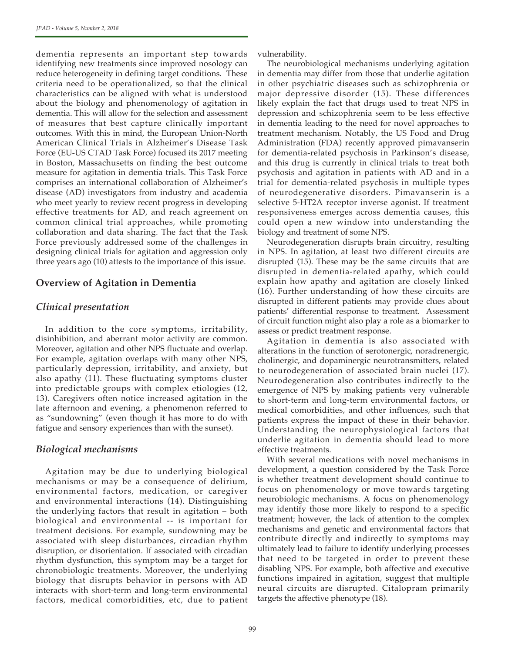dementia represents an important step towards identifying new treatments since improved nosology can reduce heterogeneity in defining target conditions. These criteria need to be operationalized, so that the clinical characteristics can be aligned with what is understood about the biology and phenomenology of agitation in dementia. This will allow for the selection and assessment of measures that best capture clinically important outcomes. With this in mind, the European Union-North American Clinical Trials in Alzheimer's Disease Task Force (EU-US CTAD Task Force) focused its 2017 meeting in Boston, Massachusetts on finding the best outcome measure for agitation in dementia trials. This Task Force comprises an international collaboration of Alzheimer's disease (AD) investigators from industry and academia who meet yearly to review recent progress in developing effective treatments for AD, and reach agreement on common clinical trial approaches, while promoting collaboration and data sharing. The fact that the Task Force previously addressed some of the challenges in designing clinical trials for agitation and aggression only three years ago (10) attests to the importance of this issue.

### **Overview of Agitation in Dementia**

#### *Clinical presentation*

In addition to the core symptoms, irritability, disinhibition, and aberrant motor activity are common. Moreover, agitation and other NPS fluctuate and overlap. For example, agitation overlaps with many other NPS, particularly depression, irritability, and anxiety, but also apathy (11). These fluctuating symptoms cluster into predictable groups with complex etiologies (12, 13). Caregivers often notice increased agitation in the late afternoon and evening, a phenomenon referred to as "sundowning" (even though it has more to do with fatigue and sensory experiences than with the sunset).

#### *Biological mechanisms*

Agitation may be due to underlying biological mechanisms or may be a consequence of delirium, environmental factors, medication, or caregiver and environmental interactions (14). Distinguishing the underlying factors that result in agitation – both biological and environmental -- is important for treatment decisions. For example, sundowning may be associated with sleep disturbances, circadian rhythm disruption, or disorientation. If associated with circadian rhythm dysfunction, this symptom may be a target for chronobiologic treatments. Moreover, the underlying biology that disrupts behavior in persons with AD interacts with short-term and long-term environmental factors, medical comorbidities, etc, due to patient vulnerability.

The neurobiological mechanisms underlying agitation in dementia may differ from those that underlie agitation in other psychiatric diseases such as schizophrenia or major depressive disorder (15). These differences likely explain the fact that drugs used to treat NPS in depression and schizophrenia seem to be less effective in dementia leading to the need for novel approaches to treatment mechanism. Notably, the US Food and Drug Administration (FDA) recently approved pimavanserin for dementia-related psychosis in Parkinson's disease, and this drug is currently in clinical trials to treat both psychosis and agitation in patients with AD and in a trial for dementia-related psychosis in multiple types of neurodegenerative disorders. Pimavanserin is a selective 5-HT2A receptor inverse agonist. If treatment responsiveness emerges across dementia causes, this could open a new window into understanding the biology and treatment of some NPS.

Neurodegeneration disrupts brain circuitry, resulting in NPS. In agitation, at least two different circuits are disrupted (15). These may be the same circuits that are disrupted in dementia-related apathy, which could explain how apathy and agitation are closely linked (16). Further understanding of how these circuits are disrupted in different patients may provide clues about patients' differential response to treatment. Assessment of circuit function might also play a role as a biomarker to assess or predict treatment response.

Agitation in dementia is also associated with alterations in the function of serotonergic, noradrenergic, cholinergic, and dopaminergic neurotransmitters, related to neurodegeneration of associated brain nuclei (17). Neurodegeneration also contributes indirectly to the emergence of NPS by making patients very vulnerable to short-term and long-term environmental factors, or medical comorbidities, and other influences, such that patients express the impact of these in their behavior. Understanding the neurophysiological factors that underlie agitation in dementia should lead to more effective treatments.

With several medications with novel mechanisms in development, a question considered by the Task Force is whether treatment development should continue to focus on phenomenology or move towards targeting neurobiologic mechanisms. A focus on phenomenology may identify those more likely to respond to a specific treatment; however, the lack of attention to the complex mechanisms and genetic and environmental factors that contribute directly and indirectly to symptoms may ultimately lead to failure to identify underlying processes that need to be targeted in order to prevent these disabling NPS. For example, both affective and executive functions impaired in agitation, suggest that multiple neural circuits are disrupted. Citalopram primarily targets the affective phenotype (18).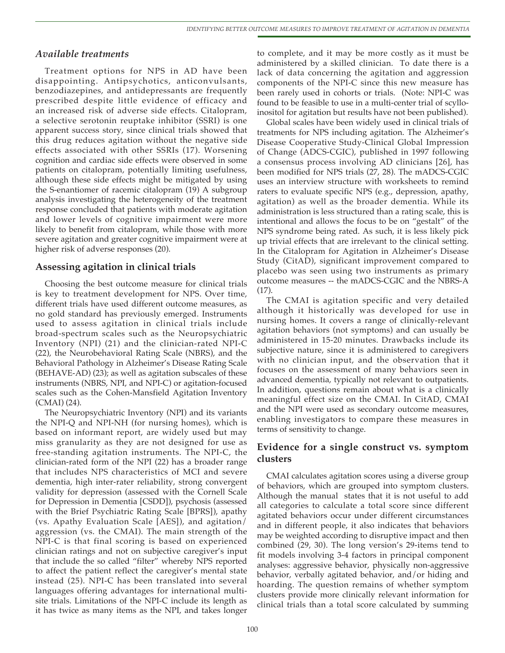## *Available treatments*

Treatment options for NPS in AD have been disappointing. Antipsychotics, anticonvulsants, benzodiazepines, and antidepressants are frequently prescribed despite little evidence of efficacy and an increased risk of adverse side effects. Citalopram, a selective serotonin reuptake inhibitor (SSRI) is one apparent success story, since clinical trials showed that this drug reduces agitation without the negative side effects associated with other SSRIs (17). Worsening cognition and cardiac side effects were observed in some patients on citalopram, potentially limiting usefulness, although these side effects might be mitigated by using the S-enantiomer of racemic citalopram (19) A subgroup analysis investigating the heterogeneity of the treatment response concluded that patients with moderate agitation and lower levels of cognitive impairment were more likely to benefit from citalopram, while those with more severe agitation and greater cognitive impairment were at higher risk of adverse responses (20).

## **Assessing agitation in clinical trials**

Choosing the best outcome measure for clinical trials is key to treatment development for NPS. Over time, different trials have used different outcome measures, as no gold standard has previously emerged. Instruments used to assess agitation in clinical trials include broad-spectrum scales such as the Neuropsychiatric Inventory (NPI) (21) and the clinician-rated NPI-C (22), the Neurobehavioral Rating Scale (NBRS), and the Behavioral Pathology in Alzheimer's Disease Rating Scale (BEHAVE-AD) (23); as well as agitation subscales of these instruments (NBRS, NPI, and NPI-C) or agitation-focused scales such as the Cohen-Mansfield Agitation Inventory (CMAI) (24).

The Neuropsychiatric Inventory (NPI) and its variants the NPI-Q and NPI-NH (for nursing homes), which is based on informant report, are widely used but may miss granularity as they are not designed for use as free-standing agitation instruments. The NPI-C, the clinician-rated form of the NPI (22) has a broader range that includes NPS characteristics of MCI and severe dementia, high inter-rater reliability, strong convergent validity for depression (assessed with the Cornell Scale for Depression in Dementia [CSDD]), psychosis (assessed with the Brief Psychiatric Rating Scale [BPRS]), apathy (vs. Apathy Evaluation Scale [AES]), and agitation/ aggression (vs. the CMAI). The main strength of the NPI-C is that final scoring is based on experienced clinician ratings and not on subjective caregiver's input that include the so called "filter" whereby NPS reported to affect the patient reflect the caregiver's mental state instead (25). NPI-C has been translated into several languages offering advantages for international multisite trials. Limitations of the NPI-C include its length as it has twice as many items as the NPI, and takes longer

to complete, and it may be more costly as it must be administered by a skilled clinician. To date there is a lack of data concerning the agitation and aggression components of the NPI-C since this new measure has been rarely used in cohorts or trials. (Note: NPI-C was found to be feasible to use in a multi-center trial of scylloinositol for agitation but results have not been published).

Global scales have been widely used in clinical trials of treatments for NPS including agitation. The Alzheimer's Disease Cooperative Study-Clinical Global Impression of Change (ADCS-CGIC), published in 1997 following a consensus process involving AD clinicians [26], has been modified for NPS trials (27, 28). The mADCS-CGIC uses an interview structure with worksheets to remind raters to evaluate specific NPS (e.g., depression, apathy, agitation) as well as the broader dementia. While its administration is less structured than a rating scale, this is intentional and allows the focus to be on "gestalt" of the NPS syndrome being rated. As such, it is less likely pick up trivial effects that are irrelevant to the clinical setting. In the Citalopram for Agitation in Alzheimer's Disease Study (CitAD), significant improvement compared to placebo was seen using two instruments as primary outcome measures -- the mADCS-CGIC and the NBRS-A (17).

The CMAI is agitation specific and very detailed although it historically was developed for use in nursing homes. It covers a range of clinically-relevant agitation behaviors (not symptoms) and can usually be administered in 15-20 minutes. Drawbacks include its subjective nature, since it is administered to caregivers with no clinician input, and the observation that it focuses on the assessment of many behaviors seen in advanced dementia, typically not relevant to outpatients. In addition, questions remain about what is a clinically meaningful effect size on the CMAI. In CitAD, CMAI and the NPI were used as secondary outcome measures, enabling investigators to compare these measures in terms of sensitivity to change.

## **Evidence for a single construct vs. symptom clusters**

CMAI calculates agitation scores using a diverse group of behaviors, which are grouped into symptom clusters. Although the manual states that it is not useful to add all categories to calculate a total score since different agitated behaviors occur under different circumstances and in different people, it also indicates that behaviors may be weighted according to disruptive impact and then combined (29, 30). The long version's 29-items tend to fit models involving 3-4 factors in principal component analyses: aggressive behavior, physically non-aggressive behavior, verbally agitated behavior, and/or hiding and hoarding. The question remains of whether symptom clusters provide more clinically relevant information for clinical trials than a total score calculated by summing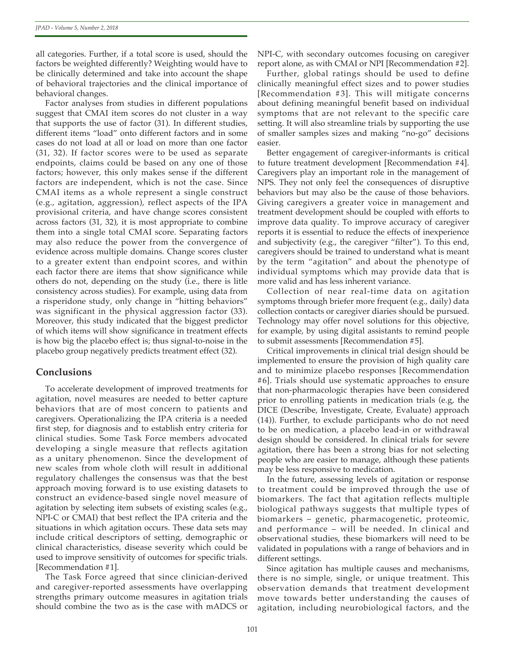all categories. Further, if a total score is used, should the factors be weighted differently? Weighting would have to be clinically determined and take into account the shape of behavioral trajectories and the clinical importance of behavioral changes.

Factor analyses from studies in different populations suggest that CMAI item scores do not cluster in a way that supports the use of factor (31). In different studies, different items "load" onto different factors and in some cases do not load at all or load on more than one factor (31, 32). If factor scores were to be used as separate endpoints, claims could be based on any one of those factors; however, this only makes sense if the different factors are independent, which is not the case. Since CMAI items as a whole represent a single construct (e.g., agitation, aggression), reflect aspects of the IPA provisional criteria, and have change scores consistent across factors (31, 32), it is most appropriate to combine them into a single total CMAI score. Separating factors may also reduce the power from the convergence of evidence across multiple domains. Change scores cluster to a greater extent than endpoint scores, and within each factor there are items that show significance while others do not, depending on the study (i.e., there is litle consistency across studies). For example, using data from a risperidone study, only change in "hitting behaviors" was significant in the physical aggression factor (33). Moreover, this study indicated that the biggest predictor of which items will show significance in treatment effects is how big the placebo effect is; thus signal-to-noise in the placebo group negatively predicts treatment effect (32).

### **Conclusions**

To accelerate development of improved treatments for agitation, novel measures are needed to better capture behaviors that are of most concern to patients and caregivers. Operationalizing the IPA criteria is a needed first step, for diagnosis and to establish entry criteria for clinical studies. Some Task Force members advocated developing a single measure that reflects agitation as a unitary phenomenon. Since the development of new scales from whole cloth will result in additional regulatory challenges the consensus was that the best approach moving forward is to use existing datasets to construct an evidence-based single novel measure of agitation by selecting item subsets of existing scales (e.g., NPI-C or CMAI) that best reflect the IPA criteria and the situations in which agitation occurs. These data sets may include critical descriptors of setting, demographic or clinical characteristics, disease severity which could be used to improve sensitivity of outcomes for specific trials. [Recommendation #1].

The Task Force agreed that since clinician-derived and caregiver-reported assessments have overlapping strengths primary outcome measures in agitation trials should combine the two as is the case with mADCS or

NPI-C, with secondary outcomes focusing on caregiver report alone, as with CMAI or NPI [Recommendation #2].

Further, global ratings should be used to define clinically meaningful effect sizes and to power studies [Recommendation #3]. This will mitigate concerns about defining meaningful benefit based on individual symptoms that are not relevant to the specific care setting. It will also streamline trials by supporting the use of smaller samples sizes and making "no-go" decisions easier.

Better engagement of caregiver-informants is critical to future treatment development [Recommendation #4]. Caregivers play an important role in the management of NPS. They not only feel the consequences of disruptive behaviors but may also be the cause of those behaviors. Giving caregivers a greater voice in management and treatment development should be coupled with efforts to improve data quality. To improve accuracy of caregiver reports it is essential to reduce the effects of inexperience and subjectivity (e.g., the caregiver "filter"). To this end, caregivers should be trained to understand what is meant by the term "agitation" and about the phenotype of individual symptoms which may provide data that is more valid and has less inherent variance.

Collection of near real-time data on agitation symptoms through briefer more frequent (e.g., daily) data collection contacts or caregiver diaries should be pursued. Technology may offer novel solutions for this objective, for example, by using digital assistants to remind people to submit assessments [Recommendation #5].

Critical improvements in clinical trial design should be implemented to ensure the provision of high quality care and to minimize placebo responses [Recommendation #6]. Trials should use systematic approaches to ensure that non-pharmacologic therapies have been considered prior to enrolling patients in medication trials (e.g, the DICE (Describe, Investigate, Create, Evaluate) approach (14)). Further, to exclude participants who do not need to be on medication, a placebo lead-in or withdrawal design should be considered. In clinical trials for severe agitation, there has been a strong bias for not selecting people who are easier to manage, although these patients may be less responsive to medication.

In the future, assessing levels of agitation or response to treatment could be improved through the use of biomarkers. The fact that agitation reflects multiple biological pathways suggests that multiple types of biomarkers – genetic, pharmacogenetic, proteomic, and performance – will be needed. In clinical and observational studies, these biomarkers will need to be validated in populations with a range of behaviors and in different settings.

Since agitation has multiple causes and mechanisms, there is no simple, single, or unique treatment. This observation demands that treatment development move towards better understanding the causes of agitation, including neurobiological factors, and the